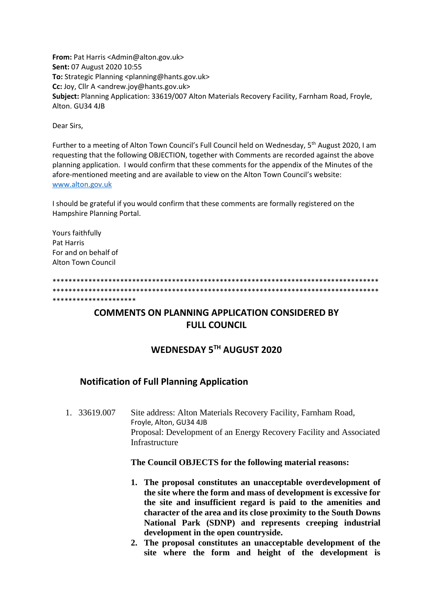From: Pat Harris <Admin@alton.gov.uk> Sent: 07 August 2020 10:55 To: Strategic Planning <planning@hants.gov.uk> Cc: Joy, Cllr A <andrew.joy@hants.gov.uk> Subject: Planning Application: 33619/007 Alton Materials Recovery Facility, Farnham Road, Froyle, Alton, GU34 4JB

Dear Sirs.

Further to a meeting of Alton Town Council's Full Council held on Wednesday, 5<sup>th</sup> August 2020, I am requesting that the following OBJECTION, together with Comments are recorded against the above planning application. I would confirm that these comments for the appendix of the Minutes of the afore-mentioned meeting and are available to view on the Alton Town Council's website: www.alton.gov.uk

I should be grateful if you would confirm that these comments are formally registered on the Hampshire Planning Portal.

Yours faithfully Pat Harris For and on behalf of **Alton Town Council** 

\*\*\*\*\*\*\*\*\*\*\*\*\*\*\*\*\*\*

## **COMMENTS ON PLANNING APPLICATION CONSIDERED BY FULL COUNCIL**

## WEDNESDAY 5TH AUGUST 2020

## **Notification of Full Planning Application**

 $1, 33619007$ Site address: Alton Materials Recovery Facility, Farnham Road, Froyle, Alton, GU34 4JB Proposal: Development of an Energy Recovery Facility and Associated Infrastructure

The Council OBJECTS for the following material reasons:

- 1. The proposal constitutes an unacceptable overdevelopment of the site where the form and mass of development is excessive for the site and insufficient regard is paid to the amenities and character of the area and its close proximity to the South Downs National Park (SDNP) and represents creeping industrial development in the open countryside.
- 2. The proposal constitutes an unacceptable development of the site where the form and height of the development is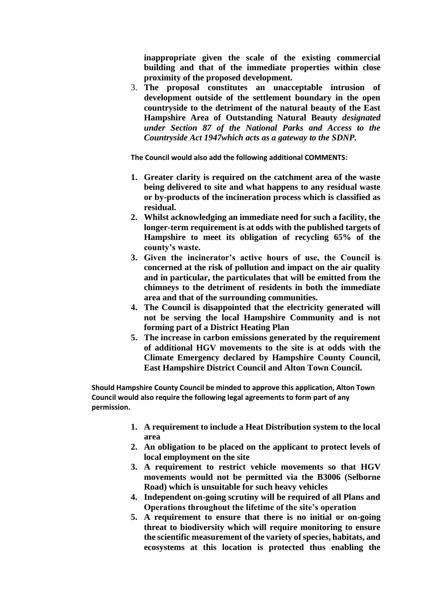**inappropriate given the scale of the existing commercial building and that of the immediate properties within close proximity of the proposed development.**

3. **The proposal constitutes an unacceptable intrusion of development outside of the settlement boundary in the open countryside to the detriment of the natural beauty of the East Hampshire Area of Outstanding Natural Beauty** *designated under Section 87 of the National Parks and Access to the Countryside Act 1947which acts as a gateway to the SDNP.*

**The Council would also add the following additional COMMENTS:**

- **1. Greater clarity is required on the catchment area of the waste being delivered to site and what happens to any residual waste or by-products of the incineration process which is classified as residual.**
- **2. Whilst acknowledging an immediate need for such a facility, the longer-term requirement is at odds with the published targets of Hampshire to meet its obligation of recycling 65% of the county's waste.**
- **3. Given the incinerator's active hours of use, the Council is concerned at the risk of pollution and impact on the air quality and in particular, the particulates that will be emitted from the chimneys to the detriment of residents in both the immediate area and that of the surrounding communities.**
- **4. The Council is disappointed that the electricity generated will not be serving the local Hampshire Community and is not forming part of a District Heating Plan**
- **5. The increase in carbon emissions generated by the requirement of additional HGV movements to the site is at odds with the Climate Emergency declared by Hampshire County Council, East Hampshire District Council and Alton Town Council.**

**Should Hampshire County Council be minded to approve this application, Alton Town Council would also require the following legal agreements to form part of any permission.**

- **1. A requirement to include a Heat Distribution system to the local area**
- **2. An obligation to be placed on the applicant to protect levels of local employment on the site**
- **3. A requirement to restrict vehicle movements so that HGV movements would not be permitted via the B3006 (Selborne Road) which is unsuitable for such heavy vehicles**
- **4. Independent on-going scrutiny will be required of all Plans and Operations throughout the lifetime of the site's operation**
- **5. A requirement to ensure that there is no initial or on-going threat to biodiversity which will require monitoring to ensure the scientific measurement of the variety of species, habitats, and ecosystems at this location is protected thus enabling the**